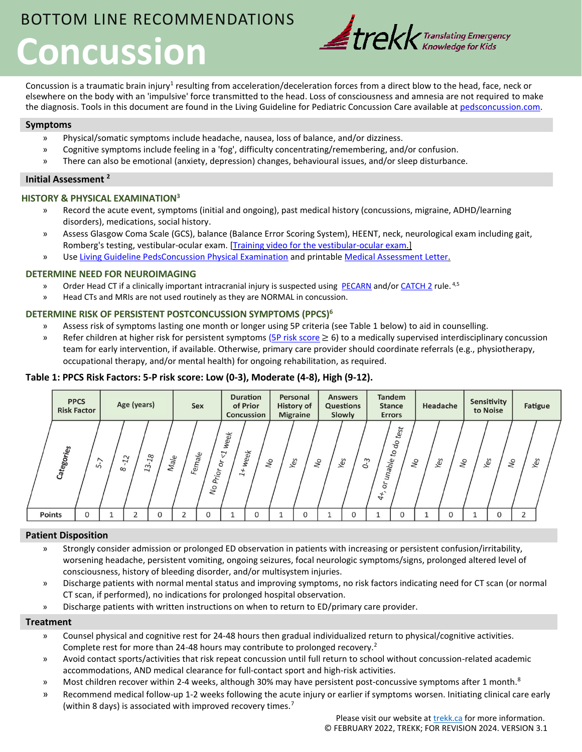# BOTTOM LINE RECOMMENDATIONS **Concussion**



Concussion is a traumatic brain injury<sup>1</sup> resulting from acceleration/deceleration forces from a direct blow to the head, face, neck or elsewhere on the body with an 'impulsive' force transmitted to the head. Loss of consciousness and amnesia are not required to make the diagnosis. Tools in this document are found in the Living Guideline for Pediatric Concussion Care available at [pedsconcussion.com.](https://pedsconcussion.com/)

## **Symptoms**

- » Physical/somatic symptoms include headache, nausea, loss of balance, and/or dizziness.
- » Cognitive symptoms include feeling in a 'fog', difficulty concentrating/remembering, and/or confusion.
- » There can also be emotional (anxiety, depression) changes, behavioural issues, and/or sleep disturbance.

### **Initial Assessment <sup>2</sup>**

## **HISTORY & PHYSICAL EXAMINATION<sup>3</sup>**

- » Record the acute event, symptoms (initial and ongoing), past medical history (concussions, migraine, ADHD/learning disorders), medications, social history.
- » Assess Glasgow Coma Scale (GCS), balance (Balance Error Scoring System), HEENT, neck, neurological exam including gait, Romberg's testing, vestibular-ocular exam. [\[Training video for the vestibular-ocular exam.\]](https://www.youtube.com/watch?v=Uy8V5MGX8Ag)
- » Use [Living Guideline PedsConcussion Physical Examination](https://pedsconcussion.com/wp-content/uploads/2019/08/Tool-2.1-Physical-Examination.pdf) and printabl[e Medical Assessment Letter.](https://www.parachutecanada.org/wp-content/uploads/2019/09/Medical-Assessment-Letter.pdf)

## **DETERMINE NEED FOR NEUROIMAGING**

- » Order Head CT if a clinically important intracranial injury is suspected using [PECARN](https://pedsconcussion.com/wp-content/uploads/2019/07/Tool-2.2-PECARN-Management-Algorithm.pdf) and/or [CATCH](https://pedsconcussion.com/wp-content/uploads/2019/08/Tool-2.3-The-Canadian-Assessment-of-Tomography.pdf) 2 rule. <sup>4,5</sup>
- » Head CTs and MRIs are not used routinely as they are NORMAL in concussion.

## **DETERMINE RISK OF PERSISTENT POSTCONCUSSION SYMPTOMS (PPCS)<sup>6</sup>**

- » Assess risk of symptoms lasting one month or longer using 5P criteria (see Table 1 below) to aid in counselling.
- » Refer children at higher risk for persistent symptoms ( $5P$  risk score  $\geq 6$ ) to a medically supervised interdisciplinary concussion team for early intervention, if available. Otherwise, primary care provider should coordinate referrals (e.g., physiotherapy, occupational therapy, and/or mental health) for ongoing rehabilitation, as required.

## **Table 1: PPCS Risk Factors: 5-P risk score: Low (0-3), Moderate (4-8), High (9-12).**



## **Patient Disposition**

- » Strongly consider admission or prolonged ED observation in patients with increasing or persistent confusion/irritability, worsening headache, persistent vomiting, ongoing seizures, focal neurologic symptoms/signs, prolonged altered level of consciousness, history of bleeding disorder, and/or multisystem injuries.
- » Discharge patients with normal mental status and improving symptoms, no risk factors indicating need for CT scan (or normal CT scan, if performed), no indications for prolonged hospital observation.
- » Discharge patients with written instructions on when to return to ED/primary care provider.

#### **Treatment**

- » Counsel physical and cognitive rest for 24-48 hours then gradual individualized return to physical/cognitive activities. Complete rest for more than 24-48 hours may contribute to prolonged recovery.<sup>2</sup>
- » Avoid contact sports/activities that risk repeat concussion until full return to school without concussion-related academic accommodations, AND medical clearance for full-contact sport and high-risk activities.
- » Most children recover within 2-4 weeks, although 30% may have persistent post-concussive symptoms after 1 month.<sup>8</sup>
- » Recommend medical follow-up 1-2 weeks following the acute injury or earlier if symptoms worsen. Initiating clinical care early (within 8 days) is associated with improved recovery times.<sup>7</sup>